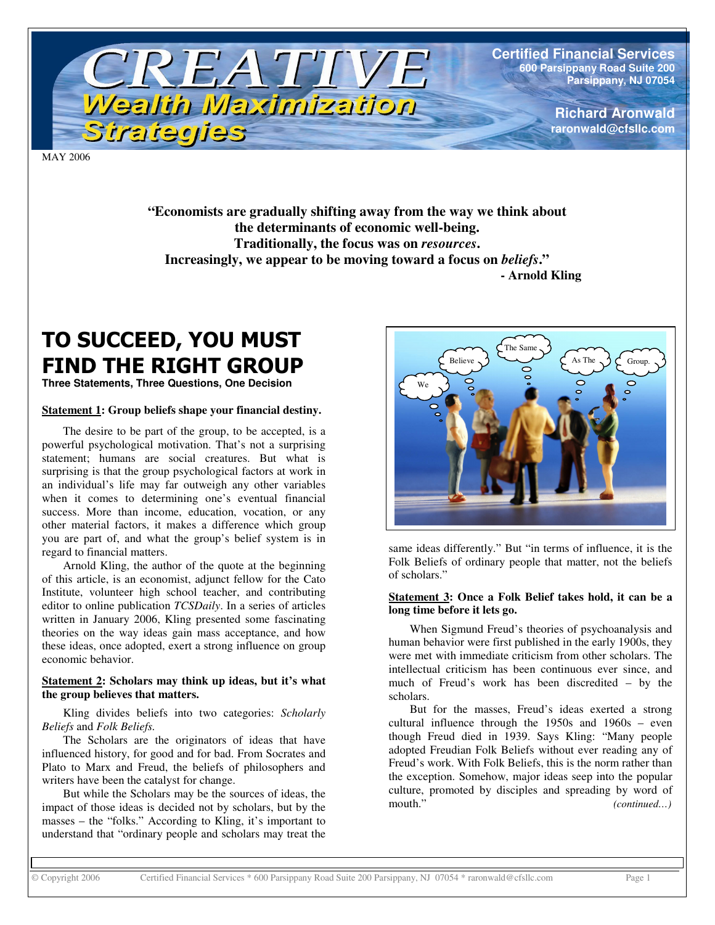

**Certified Financial Services 600 Parsippany Road Suite 200 Parsippany, NJ 07054**

> **Richard Aronwald raronwald@cfsllc.com**

MAY 2006

**"Economists are gradually shifting away from the way we think about the determinants of economic well-being. Traditionally, the focus was on** *resources***. Increasingly, we appear to be moving toward a focus on** *beliefs***." - Arnold Kling**

## TO SUCCEED, YOU MUST **FIND THE RIGHT GROUP**

**Three Statements, Three Questions, One Decision**

#### **Statement 1: Group beliefs shape your financial destiny.**

The desire to be part of the group, to be accepted, is a powerful psychological motivation. That's not a surprising statement; humans are social creatures. But what is surprising is that the group psychological factors at work in an individual's life may far outweigh any other variables when it comes to determining one's eventual financial success. More than income, education, vocation, or any other material factors, it makes a difference which group you are part of, and what the group's belief system is in regard to financial matters.

Arnold Kling, the author of the quote at the beginning of this article, is an economist, adjunct fellow for the Cato Institute, volunteer high school teacher, and contributing editor to online publication *TCSDaily*. In a series of articles written in January 2006, Kling presented some fascinating theories on the way ideas gain mass acceptance, and how these ideas, once adopted, exert a strong influence on group economic behavior.

#### **Statement 2: Scholars may think up ideas, but it's what the group believes that matters.**

Kling divides beliefs into two categories: *Scholarly Beliefs* and *Folk Beliefs.*

The Scholars are the originators of ideas that have influenced history, for good and for bad. From Socrates and Plato to Marx and Freud, the beliefs of philosophers and writers have been the catalyst for change.

But while the Scholars may be the sources of ideas, the impact of those ideas is decided not by scholars, but by the masses – the "folks." According to Kling, it's important to understand that "ordinary people and scholars may treat the



same ideas differently." But "in terms of influence, it is the Folk Beliefs of ordinary people that matter, not the beliefs of scholars."

#### **Statement 3: Once a Folk Belief takes hold, it can be a long time before it lets go.**

When Sigmund Freud's theories of psychoanalysis and human behavior were first published in the early 1900s, they were met with immediate criticism from other scholars. The intellectual criticism has been continuous ever since, and much of Freud's work has been discredited – by the scholars.

But for the masses, Freud's ideas exerted a strong cultural influence through the 1950s and 1960s – even though Freud died in 1939. Says Kling: "Many people adopted Freudian Folk Beliefs without ever reading any of Freud's work. With Folk Beliefs, this is the norm rather than the exception. Somehow, major ideas seep into the popular culture, promoted by disciples and spreading by word of mouth." *(continued…)*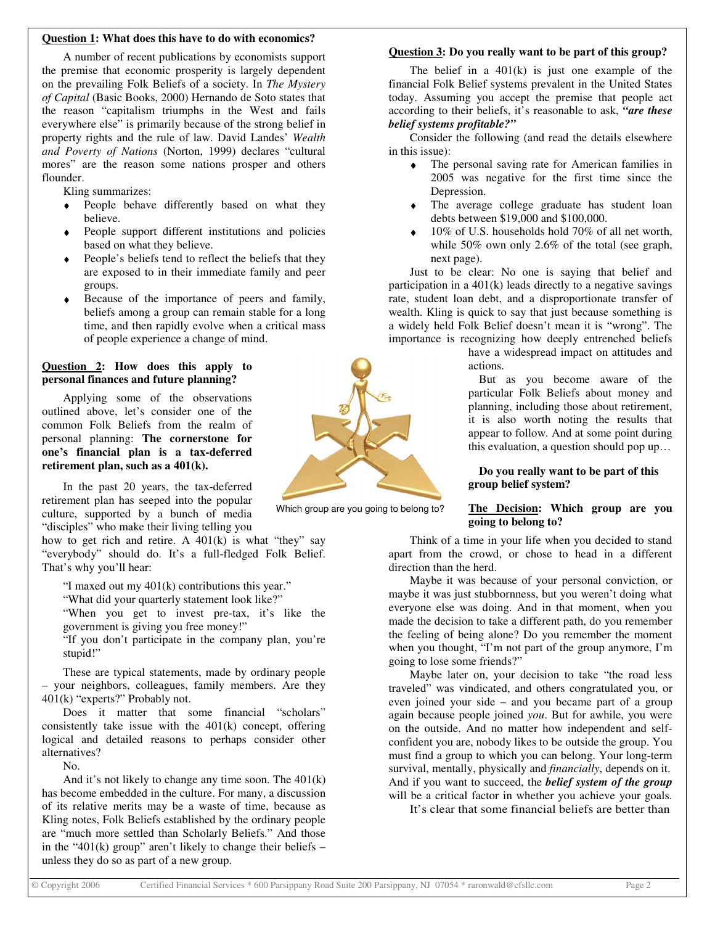#### **Question 1: What does this have to do with economics?**

A number of recent publications by economists support the premise that economic prosperity is largely dependent on the prevailing Folk Beliefs of a society. In *The Mystery of Capital* (Basic Books, 2000) Hernando de Soto states that the reason "capitalism triumphs in the West and fails everywhere else" is primarily because of the strong belief in property rights and the rule of law. David Landes' *Wealth and Poverty of Nations* (Norton, 1999) declares "cultural mores" are the reason some nations prosper and others flounder.

Kling summarizes:

- ♦ People behave differently based on what they believe.
- People support different institutions and policies based on what they believe.
- People's beliefs tend to reflect the beliefs that they are exposed to in their immediate family and peer groups.
- Because of the importance of peers and family, beliefs among a group can remain stable for a long time, and then rapidly evolve when a critical mass of people experience a change of mind.

#### **Question 2: How does this apply to personal finances and future planning?**

Applying some of the observations outlined above, let's consider one of the common Folk Beliefs from the realm of personal planning: **The cornerstone for one's financial plan is a tax-deferred retirement plan, such as a 401(k).**

In the past 20 years, the tax-deferred retirement plan has seeped into the popular culture, supported by a bunch of media "disciples" who make their living telling you

how to get rich and retire. A  $401(k)$  is what "they" say "everybody" should do. It's a full-fledged Folk Belief. That's why you'll hear:

"I maxed out my  $401(k)$  contributions this year."

"What did your quarterly statement look like?"

"When you get to invest pre-tax, it's like the government is giving you free money!"

"If you don't participate in the company plan, you're stupid!"

These are typical statements, made by ordinary people – your neighbors, colleagues, family members. Are they 401(k) "experts?" Probably not.

Does it matter that some financial "scholars" consistently take issue with the 401(k) concept, offering logical and detailed reasons to perhaps consider other alternatives?

No.

And it's not likely to change any time soon. The 401(k) has become embedded in the culture. For many, a discussion of its relative merits may be a waste of time, because as Kling notes, Folk Beliefs established by the ordinary people are "much more settled than Scholarly Beliefs." And those in the "401(k) group" aren't likely to change their beliefs  $$ unless they do so as part of a new group.

#### **Question 3: Do you really want to be part of this group?**

The belief in a  $401(k)$  is just one example of the financial Folk Belief systems prevalent in the United States today. Assuming you accept the premise that people act according to their beliefs, it's reasonable to ask, *"are these belief systems profitable?"*

Consider the following (and read the details elsewhere in this issue):

- ♦ The personal saving rate for American families in 2005 was negative for the first time since the Depression.
- ♦ The average college graduate has student loan debts between \$19,000 and \$100,000.
- $10\%$  of U.S. households hold 70% of all net worth. while 50% own only 2.6% of the total (see graph, next page).

Just to be clear: No one is saying that belief and participation in a 401(k) leads directly to a negative savings rate, student loan debt, and a disproportionate transfer of wealth. Kling is quick to say that just because something is a widely held Folk Belief doesn't mean it is "wrong". The importance is recognizing how deeply entrenched beliefs

> have a widespread impact on attitudes and actions.

> But as you become aware of the particular Folk Beliefs about money and planning, including those about retirement, it is also worth noting the results that appear to follow. And at some point during this evaluation, a question should pop up…

#### **Do you really want to be part of this group belief system?**

#### **The Decision: Which group are you going to belong to?**

Think of a time in your life when you decided to stand apart from the crowd, or chose to head in a different direction than the herd.

Maybe it was because of your personal conviction, or maybe it was just stubbornness, but you weren't doing what everyone else was doing. And in that moment, when you made the decision to take a different path, do you remember the feeling of being alone? Do you remember the moment when you thought, "I'm not part of the group anymore, I'm going to lose some friends?"

Maybe later on, your decision to take "the road less traveled" was vindicated, and others congratulated you, or even joined your side – and you became part of a group again because people joined *you*. But for awhile, you were on the outside. And no matter how independent and selfconfident you are, nobody likes to be outside the group. You must find a group to which you can belong. Your long-term survival, mentally, physically and *financially*, depends on it. And if you want to succeed, the *belief system of the group* will be a critical factor in whether you achieve your goals.

It's clear that some financial beliefs are better than



Which group are you going to belong to?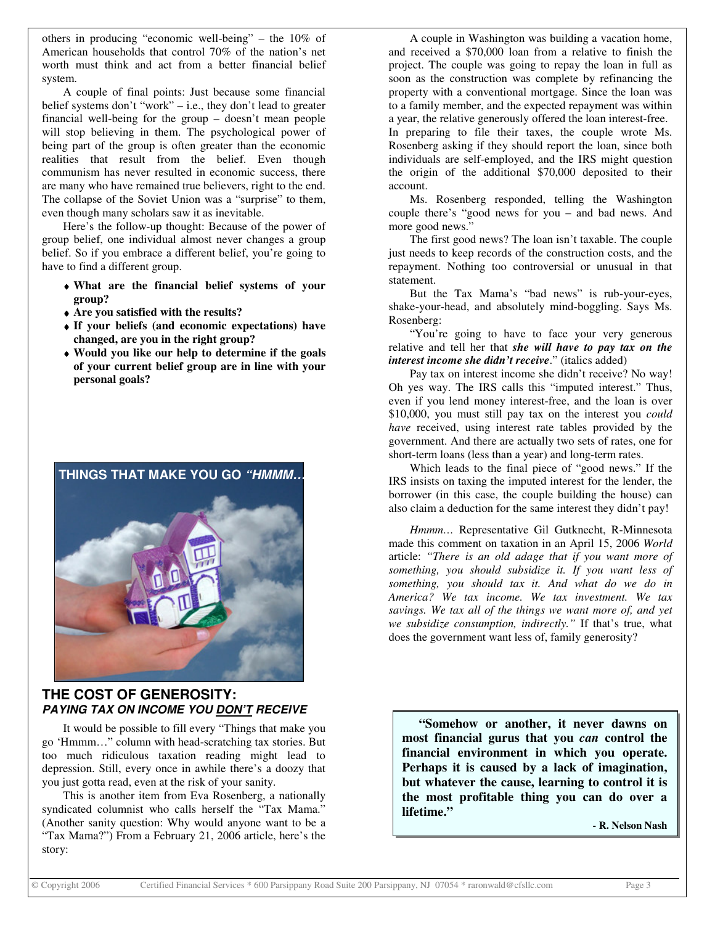others in producing "economic well-being" – the 10% of American households that control 70% of the nation's net worth must think and act from a better financial belief system.

A couple of final points: Just because some financial belief systems don't "work" – i.e., they don't lead to greater financial well-being for the group – doesn't mean people will stop believing in them. The psychological power of being part of the group is often greater than the economic realities that result from the belief. Even though communism has never resulted in economic success, there are many who have remained true believers, right to the end. The collapse of the Soviet Union was a "surprise" to them, even though many scholars saw it as inevitable.

Here's the follow-up thought: Because of the power of group belief, one individual almost never changes a group belief. So if you embrace a different belief, you're going to have to find a different group.

- ♦ **What are the financial belief systems of your group?**
- ♦ **Are you satisfied with the results?**
- ♦ **If your beliefs (and economic expectations) have changed, are you in the right group?**
- ♦ **Would you like our help to determine if the goals of your current belief group are in line with your personal goals?**



#### **THE COST OF GENEROSITY:** *PAYING TAX ON INCOME YOU DON'T RECEIVE*

It would be possible to fill every "Things that make you go 'Hmmm…" column with head-scratching tax stories. But too much ridiculous taxation reading might lead to depression. Still, every once in awhile there's a doozy that you just gotta read, even at the risk of your sanity.

This is another item from Eva Rosenberg, a nationally syndicated columnist who calls herself the "Tax Mama." (Another sanity question: Why would anyone want to be a "Tax Mama?") From a February 21, 2006 article, here's the story:

A couple in Washington was building a vacation home, and received a \$70,000 loan from a relative to finish the project. The couple was going to repay the loan in full as soon as the construction was complete by refinancing the property with a conventional mortgage. Since the loan was to a family member, and the expected repayment was within a year, the relative generously offered the loan interest-free. In preparing to file their taxes, the couple wrote Ms. Rosenberg asking if they should report the loan, since both individuals are self-employed, and the IRS might question the origin of the additional \$70,000 deposited to their account.

Ms. Rosenberg responded, telling the Washington couple there's "good news for you – and bad news. And more good news."

The first good news? The loan isn't taxable. The couple just needs to keep records of the construction costs, and the repayment. Nothing too controversial or unusual in that statement.

But the Tax Mama's "bad news" is rub-your-eyes, shake-your-head, and absolutely mind-boggling. Says Ms. Rosenberg:

"You're going to have to face your very generous relative and tell her that *she will have to pay tax on the interest income she didn't receive*." (italics added)

Pay tax on interest income she didn't receive? No way! Oh yes way. The IRS calls this "imputed interest." Thus, even if you lend money interest-free, and the loan is over \$10,000, you must still pay tax on the interest you *could have* received, using interest rate tables provided by the government. And there are actually two sets of rates, one for short-term loans (less than a year) and long-term rates.

Which leads to the final piece of "good news." If the IRS insists on taxing the imputed interest for the lender, the borrower (in this case, the couple building the house) can also claim a deduction for the same interest they didn't pay!

*Hmmm…* Representative Gil Gutknecht, R-Minnesota made this comment on taxation in an April 15, 2006 *World* article: *"There is an old adage that if you want more of something, you should subsidize it. If you want less of something, you should tax it. And what do we do in America? We tax income. We tax investment. We tax savings. We tax all of the things we want more of, and yet we subsidize consumption, indirectly."* If that's true, what does the government want less of, family generosity?

**"Somehow or another, it never dawns on most financial gurus that you** *can* **control the financial environment in which you operate. Perhaps it is caused by a lack of imagination, but whatever the cause, learning to control it is the most profitable thing you can do over a lifetime."**

**- R. Nelson Nash**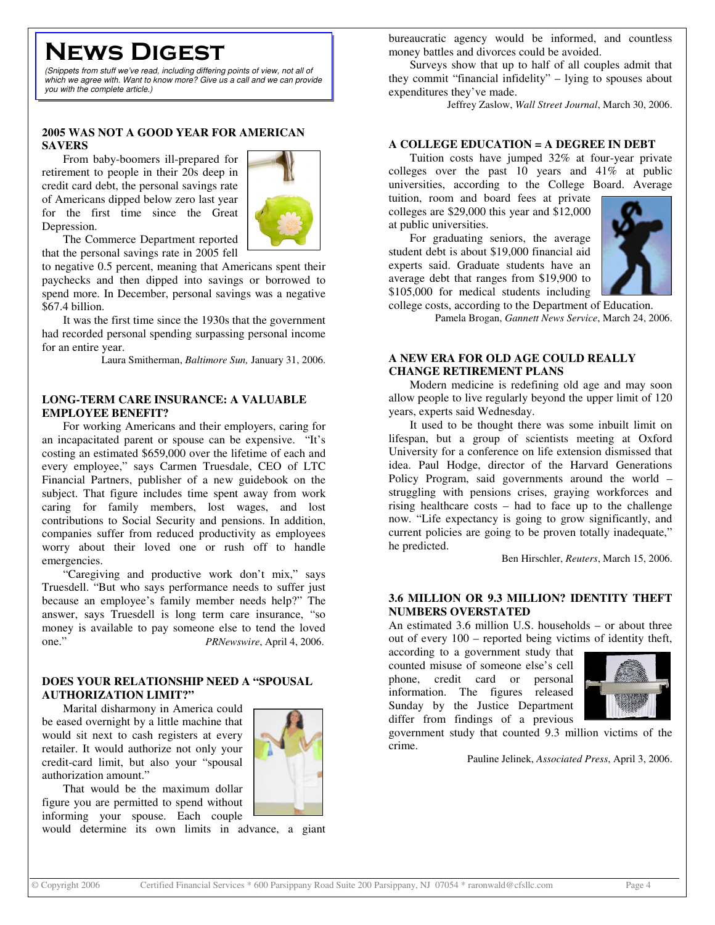# **NEWS DIGEST**

*(Snippets from stuff we've read, including differing points of view, not all of which we agree with. Want to know more? Give us a call and we can provide you with the complete article.)*

#### **2005 WAS NOT A GOOD YEAR FOR AMERICAN SAVERS**

From baby-boomers ill-prepared for retirement to people in their 20s deep in credit card debt, the personal savings rate of Americans dipped below zero last year for the first time since the Great Depression.



The Commerce Department reported that the personal savings rate in 2005 fell

to negative 0.5 percent, meaning that Americans spent their paychecks and then dipped into savings or borrowed to spend more. In December, personal savings was a negative \$67.4 billion.

It was the first time since the 1930s that the government had recorded personal spending surpassing personal income for an entire year.

Laura Smitherman, *Baltimore Sun,* January 31, 2006.

#### **LONG-TERM CARE INSURANCE: A VALUABLE EMPLOYEE BENEFIT?**

For working Americans and their employers, caring for an incapacitated parent or spouse can be expensive. "It's costing an estimated \$659,000 over the lifetime of each and every employee," says Carmen Truesdale, CEO of LTC Financial Partners, publisher of a new guidebook on the subject. That figure includes time spent away from work caring for family members, lost wages, and lost contributions to Social Security and pensions. In addition, companies suffer from reduced productivity as employees worry about their loved one or rush off to handle emergencies.

"Caregiving and productive work don't mix," says Truesdell. "But who says performance needs to suffer just because an employee's family member needs help?" The answer, says Truesdell is long term care insurance, "so money is available to pay someone else to tend the loved one." *PRNewswire*, April 4, 2006.

#### **DOES YOUR RELATIONSHIP NEED A "SPOUSAL AUTHORIZATION LIMIT?"**

Marital disharmony in America could be eased overnight by a little machine that would sit next to cash registers at every retailer. It would authorize not only your credit-card limit, but also your "spousal authorization amount."



would determine its own limits in advance, a giant

bureaucratic agency would be informed, and countless money battles and divorces could be avoided.

Surveys show that up to half of all couples admit that they commit "financial infidelity" – lying to spouses about expenditures they've made.

Jeffrey Zaslow, *Wall Street Journal*, March 30, 2006.

#### **A COLLEGE EDUCATION = A DEGREE IN DEBT**

Tuition costs have jumped 32% at four-year private colleges over the past 10 years and 41% at public universities, according to the College Board. Average

tuition, room and board fees at private colleges are \$29,000 this year and \$12,000 at public universities.

For graduating seniors, the average student debt is about \$19,000 financial aid experts said. Graduate students have an average debt that ranges from \$19,900 to \$105,000 for medical students including



college costs, according to the Department of Education. Pamela Brogan, *Gannett News Service*, March 24, 2006.

#### **A NEW ERA FOR OLD AGE COULD REALLY CHANGE RETIREMENT PLANS**

Modern medicine is redefining old age and may soon allow people to live regularly beyond the upper limit of 120 years, experts said Wednesday.

It used to be thought there was some inbuilt limit on lifespan, but a group of scientists meeting at Oxford University for a conference on life extension dismissed that idea. Paul Hodge, director of the Harvard Generations Policy Program, said governments around the world – struggling with pensions crises, graying workforces and rising healthcare costs – had to face up to the challenge now. "Life expectancy is going to grow significantly, and current policies are going to be proven totally inadequate," he predicted.

Ben Hirschler, *Reuters*, March 15, 2006.

#### **3.6 MILLION OR 9.3 MILLION? IDENTITY THEFT NUMBERS OVERSTATED**

An estimated 3.6 million U.S. households – or about three out of every 100 – reported being victims of identity theft,

according to a government study that counted misuse of someone else's cell phone, credit card or personal information. The figures released Sunday by the Justice Department differ from findings of a previous



government study that counted 9.3 million victims of the

Pauline Jelinek, *Associated Press*, April 3, 2006.

crime.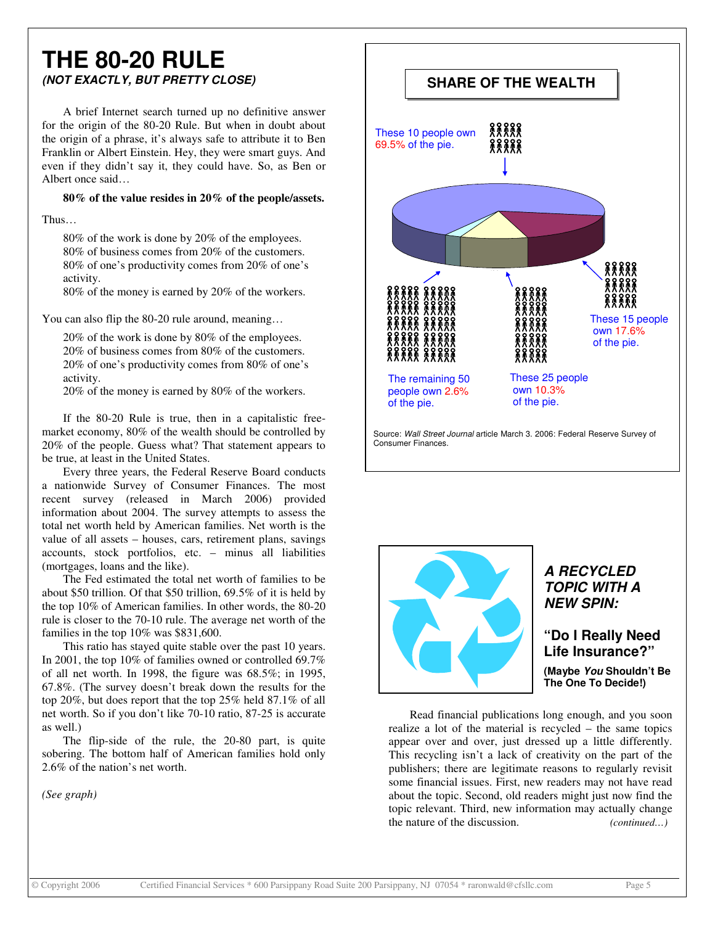### **THE 80-20 RULE** *(NOT EXACTLY, BUT PRETTY CLOSE)*

A brief Internet search turned up no definitive answer for the origin of the 80-20 Rule. But when in doubt about the origin of a phrase, it's always safe to attribute it to Ben Franklin or Albert Einstein. Hey, they were smart guys. And even if they didn't say it, they could have. So, as Ben or Albert once said…

**80% of the value resides in 20% of the people/assets.**

Thus…

80% of the work is done by 20% of the employees. 80% of business comes from 20% of the customers. 80% of one's productivity comes from 20% of one's activity.

80% of the money is earned by 20% of the workers.

You can also flip the 80-20 rule around, meaning...

20% of the work is done by 80% of the employees. 20% of business comes from 80% of the customers. 20% of one's productivity comes from 80% of one's activity.

20% of the money is earned by 80% of the workers.

If the 80-20 Rule is true, then in a capitalistic freemarket economy, 80% of the wealth should be controlled by 20% of the people. Guess what? That statement appears to be true, at least in the United States.

Every three years, the Federal Reserve Board conducts a nationwide Survey of Consumer Finances. The most recent survey (released in March 2006) provided information about 2004. The survey attempts to assess the total net worth held by American families. Net worth is the value of all assets – houses, cars, retirement plans, savings accounts, stock portfolios, etc. – minus all liabilities (mortgages, loans and the like).

The Fed estimated the total net worth of families to be about \$50 trillion. Of that \$50 trillion, 69.5% of it is held by the top 10% of American families. In other words, the 80-20 rule is closer to the 70-10 rule. The average net worth of the families in the top 10% was \$831,600.

This ratio has stayed quite stable over the past 10 years. In 2001, the top 10% of families owned or controlled 69.7% of all net worth. In 1998, the figure was 68.5%; in 1995, 67.8%. (The survey doesn't break down the results for the top 20%, but does report that the top 25% held 87.1% of all net worth. So if you don't like 70-10 ratio, 87-25 is accurate as well.)

The flip-side of the rule, the 20-80 part, is quite sobering. The bottom half of American families hold only 2.6% of the nation's net worth.

*(See graph)*



Source: *Wall Street Journal* article March 3. 2006: Federal Reserve Survey of Consumer Finances.



#### *A RECYCLED TOPIC WITH A NEW SPIN:*

**"Do I Really Need Life Insurance?" (Maybe** *You* **Shouldn't Be The One To Decide!)**

Read financial publications long enough, and you soon realize a lot of the material is recycled – the same topics appear over and over, just dressed up a little differently. This recycling isn't a lack of creativity on the part of the publishers; there are legitimate reasons to regularly revisit some financial issues. First, new readers may not have read about the topic. Second, old readers might just now find the topic relevant. Third, new information may actually change the nature of the discussion. *(continued…)*